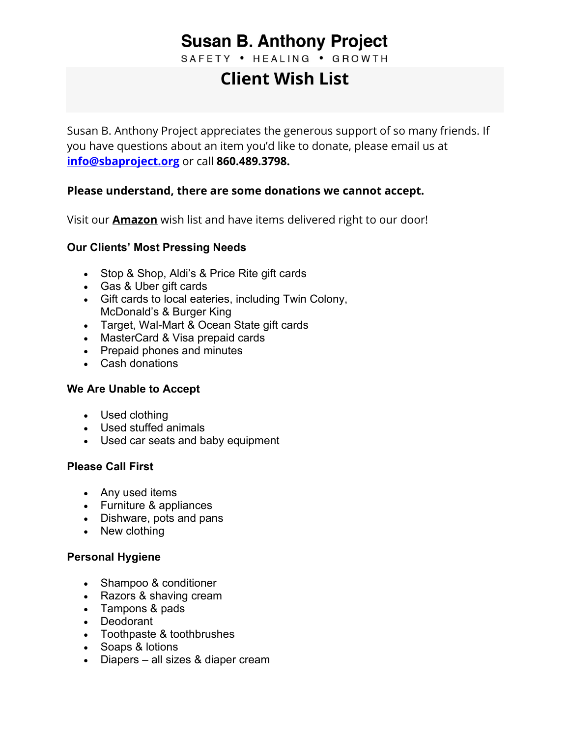## **Susan B. Anthony Project**

SAFETY . HEALING . GROWTH

# **Client Wish List**

Susan B. Anthony Project appreciates the generous support of so many friends. If you have questions about an item you'd like to donate, please [email us](mailto:info@sbaproject.org) at **[info@sbaproject.org](mailto:info@sbaproject.org)** or call **860.489.3798.**

## **Please understand, there are some donations we cannot accept.**

Visit our **[Amazon](https://www.amazon.com/hz/wishlist/ls/106OBALP01I1P?leftNavSection=Shopping&ref_=abls_lnv_sl)** wish list and have items delivered right to our door!

#### **Our Clients' Most Pressing Needs**

- Stop & Shop, Aldi's & Price Rite gift cards
- Gas & Uber gift cards
- Gift cards to local eateries, including Twin Colony, McDonald's & Burger King
- Target, Wal-Mart & Ocean State gift cards
- MasterCard & Visa prepaid cards
- Prepaid phones and minutes
- Cash donations

#### **We Are Unable to Accept**

- Used clothing
- Used stuffed animals
- Used car seats and baby equipment

#### **Please Call First**

- Any used items
- Furniture & appliances
- Dishware, pots and pans
- New clothing

#### **Personal Hygiene**

- Shampoo & conditioner
- Razors & shaving cream
- Tampons & pads
- Deodorant
- Toothpaste & toothbrushes
- Soaps & lotions
- Diapers all sizes & diaper cream